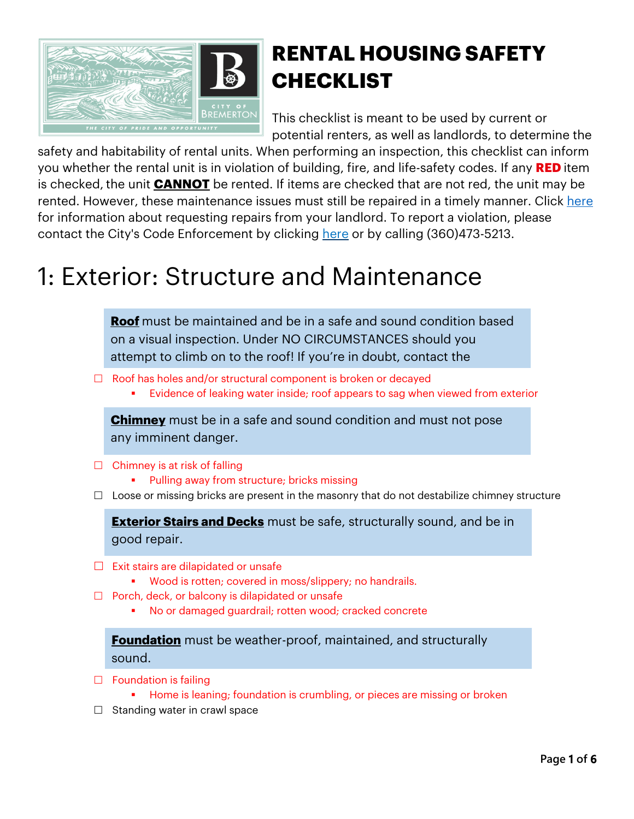

#### **RENTAL HOUSING SAFETY CHECKLIST**

This checklist is meant to be used by current or potential renters, as well as landlords, to determine the

safety and habitability of rental units. When performing an inspection, this checklist can inform you whether the rental unit is in violation of building, fire, and life-safety codes. If any **RED** item is checked, the unit **CANNOT** be rented. If items are checked that are not red, the unit may be rented. However, these maintenance issues must still be repaired in a timely manner. Click here for information about requesting repairs from your landlord. To report a violation, please contact the City's Code Enforcement by clicking here or by calling (360)473-5213.

## 1: Exterior: Structure and Maintenance

**Roof** must be maintained and be in a safe and sound condition based on a visual inspection. Under NO CIRCUMSTANCES should you attempt to climb on to the roof! If you're in doubt, contact the

- $\Box$  Roof has holes and/or structural component is broken or decayed
	- Evidence of leaking water inside; roof appears to sag when viewed from exterior

**Chimney** must be in a safe and sound condition and must not pose any imminent danger.

- $\Box$  Chimney is at risk of falling
	- Pulling away from structure; bricks missing
- $\Box$  Loose or missing bricks are present in the masonry that do not destabilize chimney structure

**Exterior Stairs and Decks** must be safe, structurally sound, and be in good repair.

- $\square$  Exit stairs are dilapidated or unsafe
	- Wood is rotten; covered in moss/slippery; no handrails.
- $\Box$  Porch, deck, or balcony is dilapidated or unsafe
	- § No or damaged guardrail; rotten wood; cracked concrete

**Foundation** must be weather-proof, maintained, and structurally sound.

- $\Box$  Foundation is failing
	- § Home is leaning; foundation is crumbling, or pieces are missing or broken
- $\Box$  Standing water in crawl space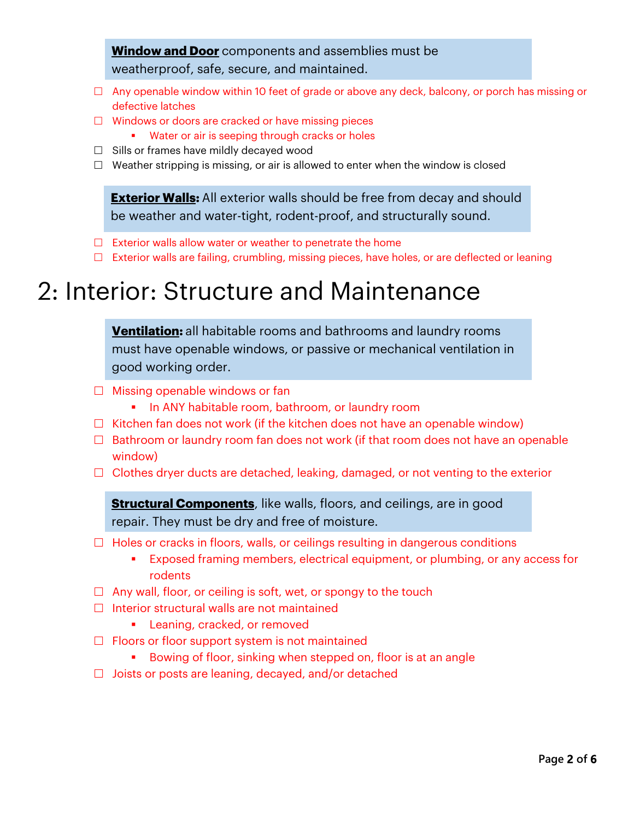#### **Window and Door** components and assemblies must be weatherproof, safe, secure, and maintained.

- $\Box$  Any openable window within 10 feet of grade or above any deck, balcony, or porch has missing or defective latches
- $\Box$  Windows or doors are cracked or have missing pieces
	- Water or air is seeping through cracks or holes
- $\Box$  Sills or frames have mildly decayed wood
- $\Box$  Weather stripping is missing, or air is allowed to enter when the window is closed

**Exterior Walls:** All exterior walls should be free from decay and should be weather and water-tight, rodent-proof, and structurally sound.

- $\Box$  Exterior walls allow water or weather to penetrate the home
- □ Exterior walls are failing, crumbling, missing pieces, have holes, or are deflected or leaning

## 2: Interior: Structure and Maintenance

**Ventilation:** all habitable rooms and bathrooms and laundry rooms must have openable windows, or passive or mechanical ventilation in good working order.

- $\Box$  Missing openable windows or fan
	- **•** In ANY habitable room, bathroom, or laundry room
- $\Box$  Kitchen fan does not work (if the kitchen does not have an openable window)
- $\Box$  Bathroom or laundry room fan does not work (if that room does not have an openable window)
- $\Box$  Clothes dryer ducts are detached, leaking, damaged, or not venting to the exterior

**Structural Components**, like walls, floors, and ceilings, are in good repair. They must be dry and free of moisture.

- $\Box$  Holes or cracks in floors, walls, or ceilings resulting in dangerous conditions
	- **Exposed framing members, electrical equipment, or plumbing, or any access for** rodents
- $\Box$  Any wall, floor, or ceiling is soft, wet, or spongy to the touch
- $\square$  Interior structural walls are not maintained
	- **Example 2** Leaning, cracked, or removed
- $\Box$  Floors or floor support system is not maintained
	- Bowing of floor, sinking when stepped on, floor is at an angle
- $\Box$  Joists or posts are leaning, decayed, and/or detached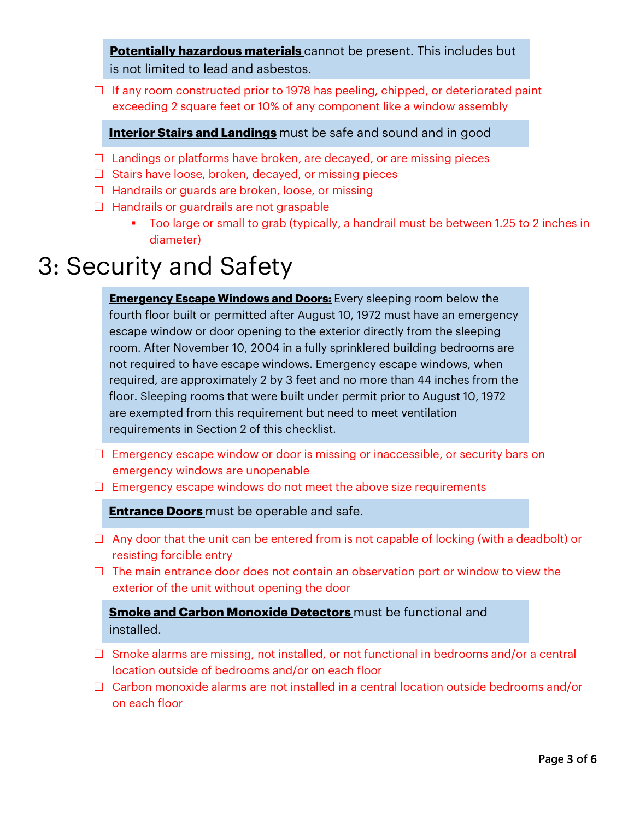**Potentially hazardous materials** cannot be present. This includes but is not limited to lead and asbestos.

 $\Box$  If any room constructed prior to 1978 has peeling, chipped, or deteriorated paint exceeding 2 square feet or 10% of any component like a window assembly

#### **Interior Stairs and Landings** must be safe and sound and in good

- □<br>□ Landings or platforms have broken, are decayed, or are missing pieces
- $\Box$  Stairs have loose, broken, decayed, or missing pieces
- $\Box$  Handrails or guards are broken, loose, or missing
- $\Box$  Handrails or quardrails are not graspable
	- § Too large or small to grab (typically, a handrail must be between 1.25 to 2 inches in diameter)

#### 3: Security and Safety

**Emergency Escape Windows and Doors:** Every sleeping room below the fourth floor built or permitted after August 10, 1972 must have an emergency escape window or door opening to the exterior directly from the sleeping room. After November 10, 2004 in a fully sprinklered building bedrooms are not required to have escape windows. Emergency escape windows, when required, are approximately 2 by 3 feet and no more than 44 inches from the floor. Sleeping rooms that were built under permit prior to August 10, 1972 are exempted from this requirement but need to meet ventilation requirements in Section 2 of this checklist.

- $\Box$  Emergency escape window or door is missing or inaccessible, or security bars on emergency windows are unopenable
- $\Box$  Emergency escape windows do not meet the above size requirements

**Entrance Doors** must be operable and safe.

- $\Box$  Any door that the unit can be entered from is not capable of locking (with a deadbolt) or resisting forcible entry
- $\Box$  The main entrance door does not contain an observation port or window to view the exterior of the unit without opening the door

**Smoke and Carbon Monoxide Detectors** must be functional and installed.

- $\square$  Smoke alarms are missing, not installed, or not functional in bedrooms and/or a central location outside of bedrooms and/or on each floor
- $\Box$  Carbon monoxide alarms are not installed in a central location outside bedrooms and/or on each floor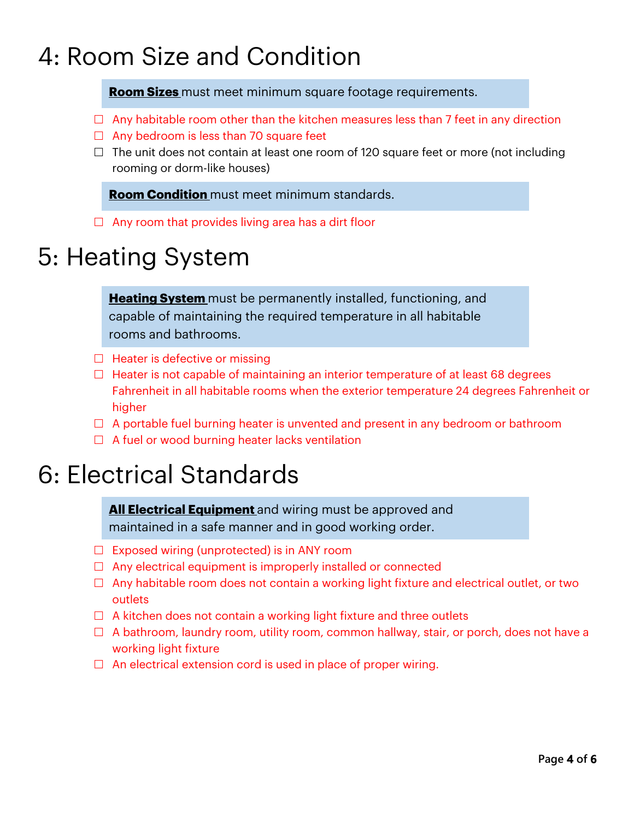# 4: Room Size and Condition

**Room Sizes** must meet minimum square footage requirements.

- $\Box$  Any habitable room other than the kitchen measures less than 7 feet in any direction
- $\Box$  Any bedroom is less than 70 square feet
- $\Box$  The unit does not contain at least one room of 120 square feet or more (not including rooming or dorm-like houses)

**Room Condition** must meet minimum standards.

 $\Box$  Any room that provides living area has a dirt floor

## 5: Heating System

**Heating System** must be permanently installed, functioning, and capable of maintaining the required temperature in all habitable rooms and bathrooms.

- $\Box$  Heater is defective or missing
- $\Box$  Heater is not capable of maintaining an interior temperature of at least 68 degrees Fahrenheit in all habitable rooms when the exterior temperature 24 degrees Fahrenheit or higher
- $\Box$  A portable fuel burning heater is unvented and present in any bedroom or bathroom
- $\Box$  A fuel or wood burning heater lacks ventilation

### 6: Electrical Standards

**All Electrical Equipment** and wiring must be approved and maintained in a safe manner and in good working order.

- $\Box$  Exposed wiring (unprotected) is in ANY room
- $\Box$  Any electrical equipment is improperly installed or connected
- $\Box$  Any habitable room does not contain a working light fixture and electrical outlet, or two outlets
- $\Box$  A kitchen does not contain a working light fixture and three outlets
- $\Box$  A bathroom, laundry room, utility room, common hallway, stair, or porch, does not have a working light fixture
- $\Box$  An electrical extension cord is used in place of proper wiring.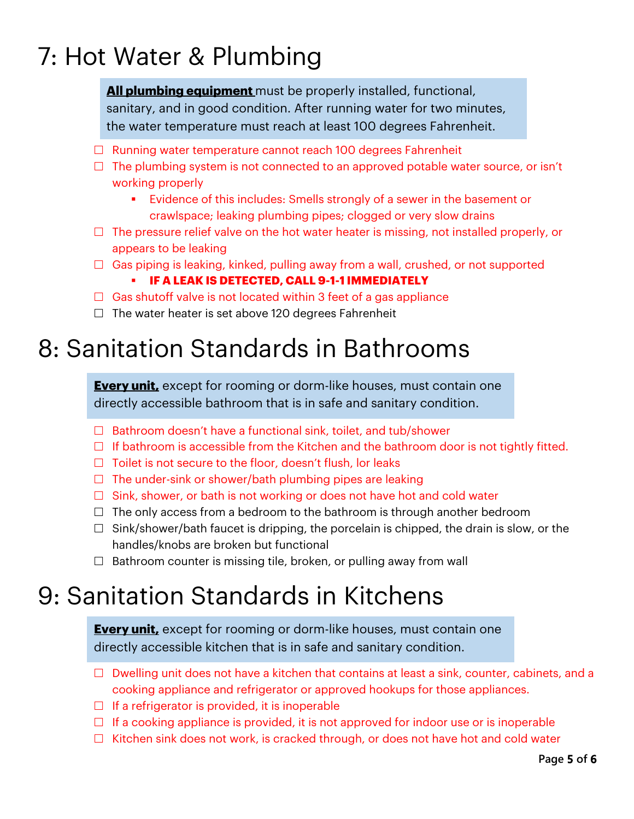# 7: Hot Water & Plumbing

**All plumbing equipment** must be properly installed, functional, sanitary, and in good condition. After running water for two minutes, the water temperature must reach at least 100 degrees Fahrenheit.

- $\Box$  Running water temperature cannot reach 100 degrees Fahrenheit
- $\Box$  The plumbing system is not connected to an approved potable water source, or isn't working properly
	- **Evidence of this includes: Smells strongly of a sewer in the basement or** crawlspace; leaking plumbing pipes; clogged or very slow drains
- $\Box$  The pressure relief valve on the hot water heater is missing, not installed properly, or appears to be leaking
- $\Box$  Gas piping is leaking, kinked, pulling away from a wall, crushed, or not supported
	- § **IF A LEAK IS DETECTED, CALL 9-1-1 IMMEDIATELY**
- $\Box$  Gas shutoff valve is not located within 3 feet of a gas appliance
- $\Box$  The water heater is set above 120 degrees Fahrenheit

### 8: Sanitation Standards in Bathrooms

**Every unit,** except for rooming or dorm-like houses, must contain one directly accessible bathroom that is in safe and sanitary condition.

- $\Box$  Bathroom doesn't have a functional sink, toilet, and tub/shower
- $\Box$  If bathroom is accessible from the Kitchen and the bathroom door is not tightly fitted.
- $\Box$  Toilet is not secure to the floor, doesn't flush, lor leaks
- $\Box$  The under-sink or shower/bath plumbing pipes are leaking
- $\Box$  Sink, shower, or bath is not working or does not have hot and cold water
- $\Box$  The only access from a bedroom to the bathroom is through another bedroom
- $\Box$  Sink/shower/bath faucet is dripping, the porcelain is chipped, the drain is slow, or the handles/knobs are broken but functional
- $\Box$  Bathroom counter is missing tile, broken, or pulling away from wall

# 9: Sanitation Standards in Kitchens

**Every unit,** except for rooming or dorm-like houses, must contain one directly accessible kitchen that is in safe and sanitary condition.

- $\Box$  Dwelling unit does not have a kitchen that contains at least a sink, counter, cabinets, and a cooking appliance and refrigerator or approved hookups for those appliances.
- $\Box$  If a refrigerator is provided, it is inoperable
- $\Box$  If a cooking appliance is provided, it is not approved for indoor use or is inoperable
- $\Box$  Kitchen sink does not work, is cracked through, or does not have hot and cold water